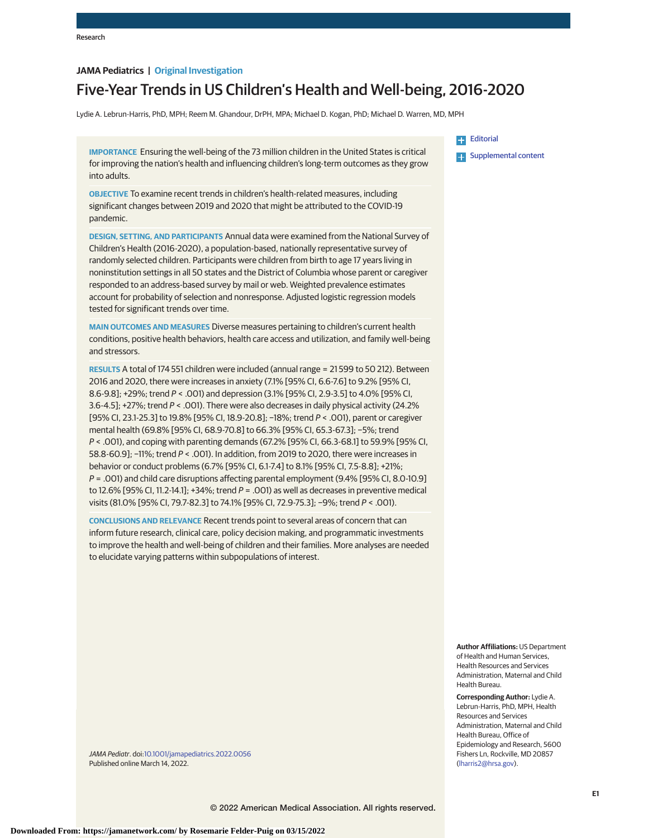# **JAMA Pediatrics | Original Investigation**

# Five-Year Trends in US Children's Health and Well-being, 2016-2020

Lydie A. Lebrun-Harris, PhD, MPH; Reem M. Ghandour, DrPH, MPA; Michael D. Kogan, PhD; Michael D. Warren, MD, MPH

**IMPORTANCE** Ensuring the well-being of the 73 million children in the United States is critical for improving the nation's health and influencing children's long-term outcomes as they grow into adults.

**OBJECTIVE** To examine recent trends in children's health-related measures, including significant changes between 2019 and 2020 that might be attributed to the COVID-19 pandemic.

**DESIGN, SETTING, AND PARTICIPANTS** Annual data were examined from the National Survey of Children's Health (2016-2020), a population-based, nationally representative survey of randomly selected children. Participants were children from birth to age 17 years living in noninstitution settings in all 50 states and the District of Columbia whose parent or caregiver responded to an address-based survey by mail or web. Weighted prevalence estimates account for probability of selection and nonresponse. Adjusted logistic regression models tested for significant trends over time.

**MAIN OUTCOMES AND MEASURES** Diverse measures pertaining to children's current health conditions, positive health behaviors, health care access and utilization, and family well-being and stressors.

**RESULTS** A total of 174 551 children were included (annual range = 21 599 to 50 212). Between 2016 and 2020, there were increases in anxiety (7.1% [95% CI, 6.6-7.6] to 9.2% [95% CI, 8.6-9.8]; +29%; trend P < .001) and depression (3.1% [95% CI, 2.9-3.5] to 4.0% [95% CI, 3.6-4.5]; +27%; trend P < .001). There were also decreases in daily physical activity (24.2% [95% CI, 23.1-25.3] to 19.8% [95% CI, 18.9-20.8]; −18%; trend P < .001), parent or caregiver mental health (69.8% [95% CI, 68.9-70.8] to 66.3% [95% CI, 65.3-67.3]; −5%; trend P < .001), and coping with parenting demands (67.2% [95% CI, 66.3-68.1] to 59.9% [95% CI, 58.8-60.9]; −11%; trend P < .001). In addition, from 2019 to 2020, there were increases in behavior or conduct problems (6.7% [95% CI, 6.1-7.4] to 8.1% [95% CI, 7.5-8.8]; +21%; P = .001) and child care disruptions affecting parental employment (9.4% [95% CI, 8.0-10.9] to 12.6% [95% CI, 11.2-14.1]; +34%; trend  $P = .001$ ) as well as decreases in preventive medical visits (81.0% [95% CI, 79.7-82.3] to 74.1% [95% CI, 72.9-75.3]; −9%; trend P < .001).

**CONCLUSIONS AND RELEVANCE** Recent trends point to several areas of concern that can inform future research, clinical care, policy decision making, and programmatic investments to improve the health and well-being of children and their families. More analyses are needed to elucidate varying patterns within subpopulations of interest.

**[Editorial](https://jamanetwork.com/journals/jama/fullarticle/10.1001/jamapediatrics.2022.0063?utm_campaign=articlePDF%26utm_medium=articlePDFlink%26utm_source=articlePDF%26utm_content=jamapediatrics.2022.0056) Examplemental content** 

**Author Affiliations:** US Department of Health and Human Services, Health Resources and Services Administration, Maternal and Child Health Bureau.

**Corresponding Author:** Lydie A. Lebrun-Harris, PhD, MPH, Health Resources and Services Administration, Maternal and Child Health Bureau, Office of Epidemiology and Research, 5600 Fishers Ln, Rockville, MD 20857 [\(lharris2@hrsa.gov\)](mailto:lharris2@hrsa.gov).

JAMA Pediatr. doi[:10.1001/jamapediatrics.2022.0056](https://jamanetwork.com/journals/jama/fullarticle/10.1001/jamapediatrics.2022.0056?utm_campaign=articlePDF%26utm_medium=articlePDFlink%26utm_source=articlePDF%26utm_content=jamapediatrics.2022.0056) Published online March 14, 2022.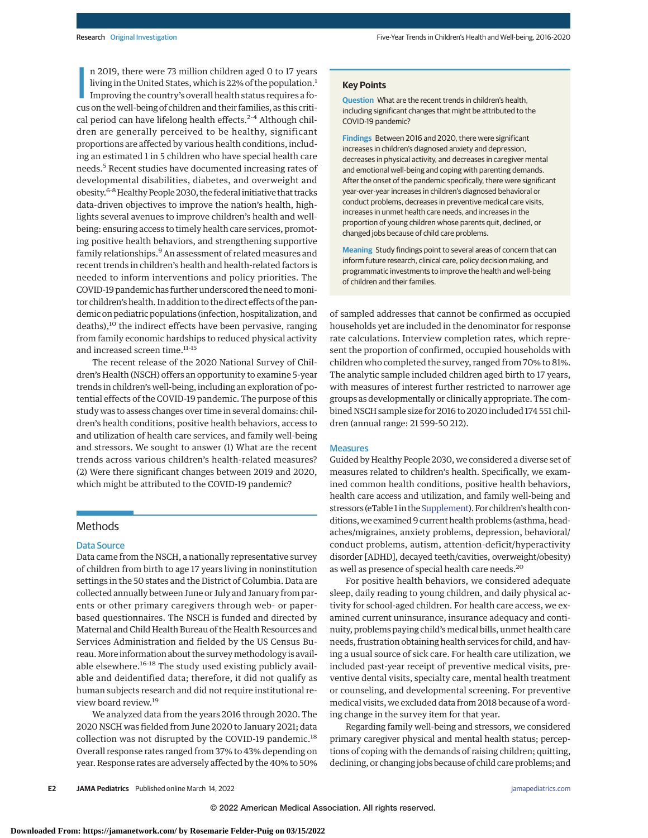n 2019, there were 73 million children aged 0 to 17 years<br>living in the United States, which is 22% of the population.<sup>1</sup><br>Improving the country's overall health status requires a fo-<br>cus on the well-being of children and t n 2019, there were 73 million children aged 0 to 17 years living in the United States, which is 22% of the population.<sup>1</sup> Improving the country's overall health status requires a focal period can have lifelong health effects. $2-4$  Although children are generally perceived to be healthy, significant proportions are affected by various health conditions, including an estimated 1 in 5 children who have special health care needs.<sup>5</sup> Recent studies have documented increasing rates of developmental disabilities, diabetes, and overweight and obesity.6-8Healthy People 2030, the federal initiative that tracks data-driven objectives to improve the nation's health, highlights several avenues to improve children's health and wellbeing: ensuring access to timely health care services, promoting positive health behaviors, and strengthening supportive family relationships.<sup>9</sup> An assessment of related measures and recent trends in children's health and health-related factors is needed to inform interventions and policy priorities. The COVID-19 pandemic has further underscored the need tomonitor children's health. In addition to the direct effects of the pandemic on pediatric populations (infection, hospitalization, and deaths),<sup>10</sup> the indirect effects have been pervasive, ranging from family economic hardships to reduced physical activity and increased screen time.<sup>11-15</sup>

The recent release of the 2020 National Survey of Children's Health (NSCH) offers an opportunity to examine 5-year trends in children's well-being, including an exploration of potential effects of the COVID-19 pandemic. The purpose of this study was to assess changes over time in several domains: children's health conditions, positive health behaviors, access to and utilization of health care services, and family well-being and stressors. We sought to answer (1) What are the recent trends across various children's health-related measures? (2) Were there significant changes between 2019 and 2020, which might be attributed to the COVID-19 pandemic?

### **Methods**

#### Data Source

Data came from the NSCH, a nationally representative survey of children from birth to age 17 years living in noninstitution settings in the 50 states and the District of Columbia. Data are collected annually between June or July and January from parents or other primary caregivers through web- or paperbased questionnaires. The NSCH is funded and directed by Maternal and Child Health Bureau of the Health Resources and Services Administration and fielded by the US Census Bureau.More information about the surveymethodology is available elsewhere.<sup>16-18</sup> The study used existing publicly available and deidentified data; therefore, it did not qualify as human subjects research and did not require institutional review board review.<sup>19</sup>

We analyzed data from the years 2016 through 2020. The 2020 NSCH was fielded from June 2020 to January 2021; data collection was not disrupted by the COVID-19 pandemic.<sup>18</sup> Overall response rates ranged from 37% to 43% depending on year. Response rates are adversely affected by the 40% to 50%

#### **Key Points**

**Question** What are the recent trends in children's health, including significant changes that might be attributed to the COVID-19 pandemic?

**Findings** Between 2016 and 2020, there were significant increases in children's diagnosed anxiety and depression, decreases in physical activity, and decreases in caregiver mental and emotional well-being and coping with parenting demands. After the onset of the pandemic specifically, there were significant year-over-year increases in children's diagnosed behavioral or conduct problems, decreases in preventive medical care visits, increases in unmet health care needs, and increases in the proportion of young children whose parents quit, declined, or changed jobs because of child care problems.

**Meaning** Study findings point to several areas of concern that can inform future research, clinical care, policy decision making, and programmatic investments to improve the health and well-being of children and their families.

of sampled addresses that cannot be confirmed as occupied households yet are included in the denominator for response rate calculations. Interview completion rates, which represent the proportion of confirmed, occupied households with children who completed the survey, ranged from 70% to 81%. The analytic sample included children aged birth to 17 years, with measures of interest further restricted to narrower age groups as developmentally or clinically appropriate. The combined NSCH sample size for 2016 to 2020 included 174 551 children (annual range: 21 599-50 212).

#### **Measures**

Guided by Healthy People 2030, we considered a diverse set of measures related to children's health. Specifically, we examined common health conditions, positive health behaviors, health care access and utilization, and family well-being and stressors (eTable 1 in the [Supplement\)](https://jamanetwork.com/journals/jama/fullarticle/10.1001/jamapediatrics.2022.0056?utm_campaign=articlePDF%26utm_medium=articlePDFlink%26utm_source=articlePDF%26utm_content=jamapediatrics.2022.0056). For children's health conditions,we examined 9 current health problems (asthma, headaches/migraines, anxiety problems, depression, behavioral/ conduct problems, autism, attention-deficit/hyperactivity disorder [ADHD], decayed teeth/cavities, overweight/obesity) as well as presence of special health care needs.<sup>20</sup>

For positive health behaviors, we considered adequate sleep, daily reading to young children, and daily physical activity for school-aged children. For health care access, we examined current uninsurance, insurance adequacy and continuity, problems paying child'smedical bills, unmet health care needs, frustration obtaining health services for child, and having a usual source of sick care. For health care utilization, we included past-year receipt of preventive medical visits, preventive dental visits, specialty care, mental health treatment or counseling, and developmental screening. For preventive medical visits, we excluded data from 2018 because of a wording change in the survey item for that year.

Regarding family well-being and stressors, we considered primary caregiver physical and mental health status; perceptions of coping with the demands of raising children; quitting, declining, or changing jobs because of child care problems; and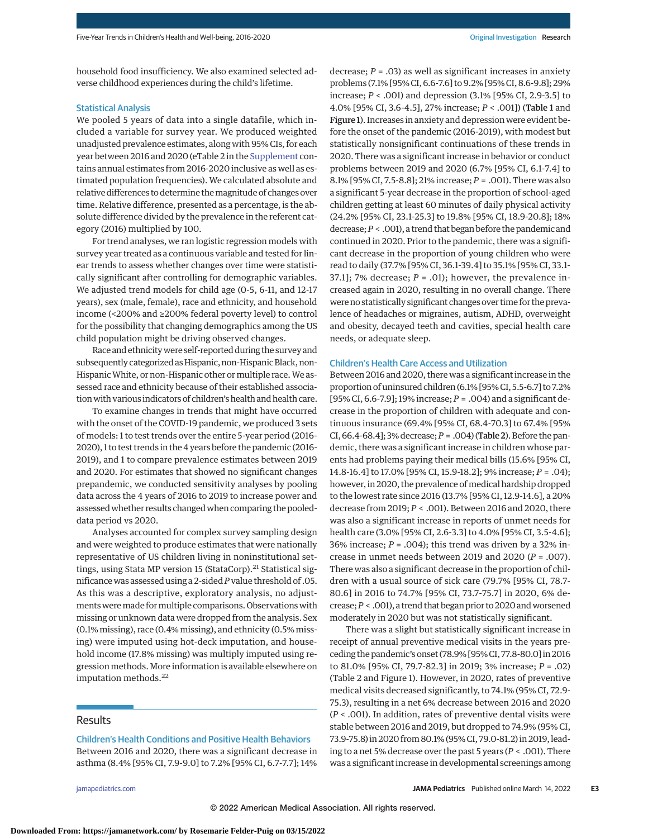household food insufficiency. We also examined selected adverse childhood experiences during the child's lifetime.

#### Statistical Analysis

We pooled 5 years of data into a single datafile, which included a variable for survey year. We produced weighted unadjusted prevalence estimates, along with 95% CIs, for each year between 2016 and 2020 (eTable 2 in the [Supplement](https://jamanetwork.com/journals/jama/fullarticle/10.1001/jamapediatrics.2022.0056?utm_campaign=articlePDF%26utm_medium=articlePDFlink%26utm_source=articlePDF%26utm_content=jamapediatrics.2022.0056) contains annual estimates from 2016-2020 inclusive as well as estimated population frequencies). We calculated absolute and relative differences to determine themagnitude of changes over time. Relative difference, presented as a percentage, is the absolute difference divided by the prevalence in the referent category (2016) multiplied by 100.

For trend analyses, we ran logistic regression models with survey year treated as a continuous variable and tested for linear trends to assess whether changes over time were statistically significant after controlling for demographic variables. We adjusted trend models for child age (0-5, 6-11, and 12-17 years), sex (male, female), race and ethnicity, and household income (<200% and ≥200% federal poverty level) to control for the possibility that changing demographics among the US child population might be driving observed changes.

Race and ethnicitywere self-reported during the survey and subsequently categorized as Hispanic, non-Hispanic Black, non-HispanicWhite, or non-Hispanic other or multiple race.We assessed race and ethnicity because of their established association with various indicators of children's health and health care.

To examine changes in trends that might have occurred with the onset of the COVID-19 pandemic, we produced 3 sets of models: 1 to test trends over the entire 5-year period (2016- 2020), 1 to test trends in the 4 years before the pandemic (2016- 2019), and 1 to compare prevalence estimates between 2019 and 2020. For estimates that showed no significant changes prepandemic, we conducted sensitivity analyses by pooling data across the 4 years of 2016 to 2019 to increase power and assessed whether results changed when comparing the pooleddata period vs 2020.

Analyses accounted for complex survey sampling design and were weighted to produce estimates that were nationally representative of US children living in noninstitutional settings, using Stata MP version 15 (StataCorp).<sup>21</sup> Statistical significance was assessed using a 2-sided*P*value threshold of .05. As this was a descriptive, exploratory analysis, no adjustments were made for multiple comparisons. Observations with missing or unknown data were dropped from the analysis. Sex (0.1% missing), race (0.4% missing), and ethnicity (0.5% missing) were imputed using hot-deck imputation, and household income (17.8% missing) was multiply imputed using regression methods. More information is available elsewhere on imputation methods.<sup>22</sup>

# **Results**

Children's Health Conditions and Positive Health Behaviors Between 2016 and 2020, there was a significant decrease in

asthma (8.4% [95% CI, 7.9-9.0] to 7.2% [95% CI, 6.7-7.7]; 14%

decrease; *P* = .03) as well as significant increases in anxiety problems (7.1% [95% CI, 6.6-7.6] to 9.2% [95% CI, 8.6-9.8]; 29% increase; *P* < .001) and depression (3.1% [95% CI, 2.9-3.5] to 4.0% [95% CI, 3.6-4.5], 27% increase; *P* < .001]) (Table 1 and Figure 1). Increases in anxiety and depression were evident before the onset of the pandemic (2016-2019), with modest but statistically nonsignificant continuations of these trends in 2020. There was a significant increase in behavior or conduct problems between 2019 and 2020 (6.7% [95% CI, 6.1-7.4] to 8.1% [95% CI, 7.5-8.8]; 21% increase; *P* = .001). There was also a significant 5-year decrease in the proportion of school-aged children getting at least 60 minutes of daily physical activity (24.2% [95% CI, 23.1-25.3] to 19.8% [95% CI, 18.9-20.8]; 18% decrease;*P* < .001), a trend that began before the pandemic and continued in 2020. Prior to the pandemic, there was a significant decrease in the proportion of young children who were read to daily (37.7% [95% CI, 36.1-39.4] to 35.1% [95% CI, 33.1- 37.1]; 7% decrease;  $P = .01$ ); however, the prevalence increased again in 2020, resulting in no overall change. There were no statistically significant changes over time for the prevalence of headaches or migraines, autism, ADHD, overweight and obesity, decayed teeth and cavities, special health care needs, or adequate sleep.

#### Children's Health Care Access and Utilization

Between 2016 and 2020, there was a significant increase in the proportion of uninsured children(6.1% [95% CI, 5.5-6.7] to 7.2% [95% CI, 6.6-7.9]; 19% increase; *P* = .004) and a significant decrease in the proportion of children with adequate and continuous insurance (69.4% [95% CI, 68.4-70.3] to 67.4% [95% CI, 66.4-68.4]; 3% decrease;*P* = .004) (Table 2). Before the pandemic, there was a significant increase in children whose parents had problems paying their medical bills (15.6% [95% CI, 14.8-16.4] to 17.0% [95% CI, 15.9-18.2]; 9% increase; *P* = .04); however, in 2020, the prevalence of medical hardship dropped to the lowest rate since 2016 (13.7% [95% CI, 12.9-14.6], a 20% decrease from 2019; *P* < .001). Between 2016 and 2020, there was also a significant increase in reports of unmet needs for health care (3.0% [95% CI, 2.6-3.3] to 4.0% [95% CI, 3.5-4.6]; 36% increase;  $P = .004$ ); this trend was driven by a 32% increase in unmet needs between 2019 and 2020 (*P* = .007). There was also a significant decrease in the proportion of children with a usual source of sick care (79.7% [95% CI, 78.7- 80.6] in 2016 to 74.7% [95% CI, 73.7-75.7] in 2020, 6% decrease;*P* < .001), a trend that began prior to 2020 andworsened moderately in 2020 but was not statistically significant.

There was a slight but statistically significant increase in receipt of annual preventive medical visits in the years preceding the pandemic's onset (78.9% [95% CI, 77.8-80.0] in 2016 to 81.0% [95% CI, 79.7-82.3] in 2019; 3% increase; *P* = .02) (Table 2 and Figure 1). However, in 2020, rates of preventive medical visits decreased significantly, to 74.1% (95% CI, 72.9- 75.3), resulting in a net 6% decrease between 2016 and 2020 (*P* < .001). In addition, rates of preventive dental visits were stable between 2016 and 2019, but dropped to 74.9% (95% CI, 73.9-75.8) in 2020 from 80.1% (95% CI, 79.0-81.2) in 2019, leading to a net 5% decrease over the past 5 years (*P* < .001). There was a significant increase in developmental screenings among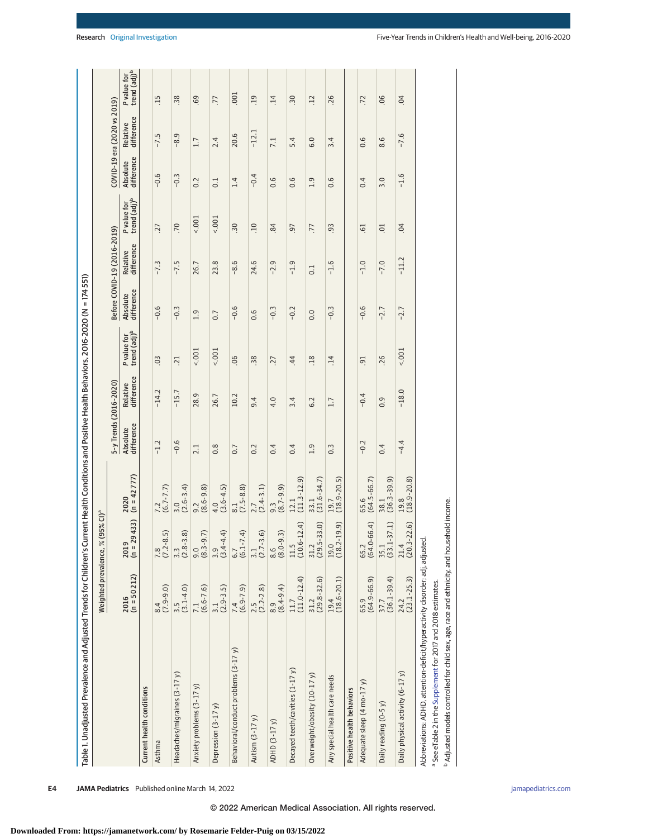|                                                                                 |                                                    | Weighted prevalence, % (95% CI) <sup>a</sup> |                                                 |                        |                        |                                         |                        |                             |                                         |                        |                             |                  |
|---------------------------------------------------------------------------------|----------------------------------------------------|----------------------------------------------|-------------------------------------------------|------------------------|------------------------|-----------------------------------------|------------------------|-----------------------------|-----------------------------------------|------------------------|-----------------------------|------------------|
|                                                                                 |                                                    |                                              |                                                 | 5-y Trends (2016-2020) |                        |                                         |                        | Before COVID-19 (2016-2019) |                                         |                        | COVID-19 era (2020 vs 2019) |                  |
|                                                                                 | $2016$<br>(n = 50 212)                             | $2019$<br>(h = 29 433)                       | $(n = 42 777)$<br>2020                          | difference<br>Absolute | Relative<br>difference | P value for<br>trend (adj) <sup>b</sup> | Absolute<br>difference | Relative<br>difference      | P value for<br>trend (adj) <sup>b</sup> | Absolute<br>difference | difference<br>Relative      | Pval<br>tren     |
| Current health conditions                                                       |                                                    |                                              |                                                 |                        |                        |                                         |                        |                             |                                         |                        |                             |                  |
| Asthma                                                                          | $\begin{array}{c} 8.4 \\ (7.9-9.0) \end{array}$    | $7.8$<br>(7.2-8.5)                           | $7.2$<br>(6.7-7.7)                              | $-1.2$                 | $-14.2$                | 0 <sup>3</sup>                          | $-0.6$                 | $-7.3$                      | .27                                     | $-0.6$                 | $-7.5$                      | $-15$            |
| Headaches/migraines (3-17 y)                                                    | $\frac{3.5}{(3.1-4.0)}$                            | $\frac{3.3}{(2.8-3.8)}$                      | $\frac{3.0}{(2.6-3.4)}$                         | $-0.6$                 | $-15.7$                | .21                                     | $-0.3$                 | $-7.5$                      | .70                                     | $-0.3$                 | $-8.9$                      | 38               |
| Anxiety problems (3-17 y)                                                       | $7.1$<br>(6.6-7.6)                                 | $\frac{9.0}{(8.3-9.7)}$                      | $\frac{9.2}{(8.6-9.8)}$                         | 2.1                    | 28.9                   | 5001                                    | 1.9                    | 26.7                        | $1001 -$                                | 0.2                    | 1.7                         | 69               |
| Depression (3-17y)                                                              | $\frac{3.1}{(2.9-3.5)}$                            | $\frac{3.9}{(3.4-4.4)}$                      | $\begin{array}{c} 4.0 \\ (3.6-4.5) \end{array}$ | 0.8                    | 26.7                   | $5001 -$                                | 0.7                    | 23.8                        | $1001 -$                                | 0.1                    | 2.4                         | .77              |
| Behavioral/conduct problems (3-17 y)                                            | $7.4$<br>(6.9-7.9)                                 | $(6.1 - 7.4)$<br>6.7                         | $\begin{array}{c} 8.1 \\ (7.5-8.8) \end{array}$ | 0.7                    | 10.2                   | 06                                      | $-0.6$                 | $-8.6$                      | $\ddot{.}30$                            | 1.4                    | 20.6                        | .001             |
| Autism (3-17 y)                                                                 | $2.5$<br>(2.2-2.8)                                 | $\frac{3.1}{(2.7 - 3.6)}$                    | $\frac{2.7}{(2.4-3.1)}$                         | 0.2                    | 9.4                    | 38                                      | 0.6                    | 24.6                        | .10                                     | $-0.4$                 | $-12.1$                     | .19              |
| ADHD (3-17 y)                                                                   | $\begin{array}{c} 8.9 \\ (8.4-9.4) \end{array}$    | $(8.0 - 9.3)$<br>8.6                         | $(8.7 - 9.9)$<br>$9.\overline{3}$               | 0.4                    | 4.0                    | .27                                     | $-0.3$                 | $-2.9$                      | 84                                      | 0.6                    | 7.1                         | $\overline{.}14$ |
| Decayed teeth/cavities (1-17 y)                                                 | $\begin{array}{c} 11.7 \\ (11.0-12.4) \end{array}$ | $(10.6 - 12.4)$<br>11.5                      | $(11.3 - 12.9)$<br>12.1                         | 0.4                    | 3.4                    | 44                                      | $-0.2$                 | $-1.9$                      | $-97$                                   | 0.6                    | 5.4                         | $\ddot{.}30$     |
| Overweight/obesity (10-17 y)                                                    | $31.2$<br>(29.8-32.6)                              | $(29.5 - 33.0)$<br>31.2                      | $33.1$<br>(31.6-34.7)                           | 1.9                    | 6.2                    | $\overline{.18}$                        | 0.0                    | 0.1                         | .77                                     | 1.9                    | 6.0                         | $\ddot{c}$       |
| Any special health care needs                                                   | $19.4$<br>(18.6-20.1)                              | $(18.2 - 19.9)$<br>19.0                      | $19.7$<br>(18.9-20.5)                           | $0.\overline{3}$       | 1.7                    | .14                                     | $-0.3$                 | $-1.6$                      | 93                                      | 0.6                    | 3.4                         | .26              |
| Positive health behaviors                                                       |                                                    |                                              |                                                 |                        |                        |                                         |                        |                             |                                         |                        |                             |                  |
| Adequate sleep (4 mo-17 y)                                                      | 65.9<br>(64.9-66.9)                                | 65.2<br>(64.0-66.4)                          | 65.6<br>(64.5-66.7)                             | $-0.2$                 | $-0.4$                 | $\overline{5}$                          | $-0.6$                 | $-1.0$                      | 61                                      | 0.4                    | 0.6                         | .72              |
| Daily reading (0-5 y)                                                           | $\frac{37.7}{(36.1-39.4)}$                         | $35.1$<br>(33.1-37.1)                        | $38.1$<br>(36.3-39.9)                           | 0.4                    | 0.9                    | .26                                     | $-2.7$                 | $-7.0$                      | 01                                      | 3.0                    | 8.6                         | 06               |
| Daily physical activity (6-17 y)                                                | $\frac{24.2}{(23.1 - 25.3)}$                       | $(20.3 - 22.6)$<br>21.4                      | $19.8$<br>(18.9-20.8)                           | $-4.4$                 | $-18.0$                | 5001                                    | $-2.7$                 | $-11.2$                     | 04                                      | $-1.6$                 | $-7.6$                      | 04               |
| Abbreviations: ADHD, attention-deficit/hyperactivity disorder; adj              |                                                    | , adjusted                                   |                                                 |                        |                        |                                         |                        |                             |                                         |                        |                             |                  |
| a See eTable 2 in the Supplement for 2017 and 2018 estimates.                   |                                                    |                                              |                                                 |                        |                        |                                         |                        |                             |                                         |                        |                             |                  |
| <sup>b</sup> Adjusted models controlled for child sex, age, race and ethnicity, |                                                    | and household income.                        |                                                 |                        |                        |                                         |                        |                             |                                         |                        |                             |                  |

© 2022 American Medical Association. All rights reserved.

|  | <b>Doconrch</b> Original Invoctigation |  |
|--|----------------------------------------|--|

P value for<br>trend (adj)<sup>b</sup> value for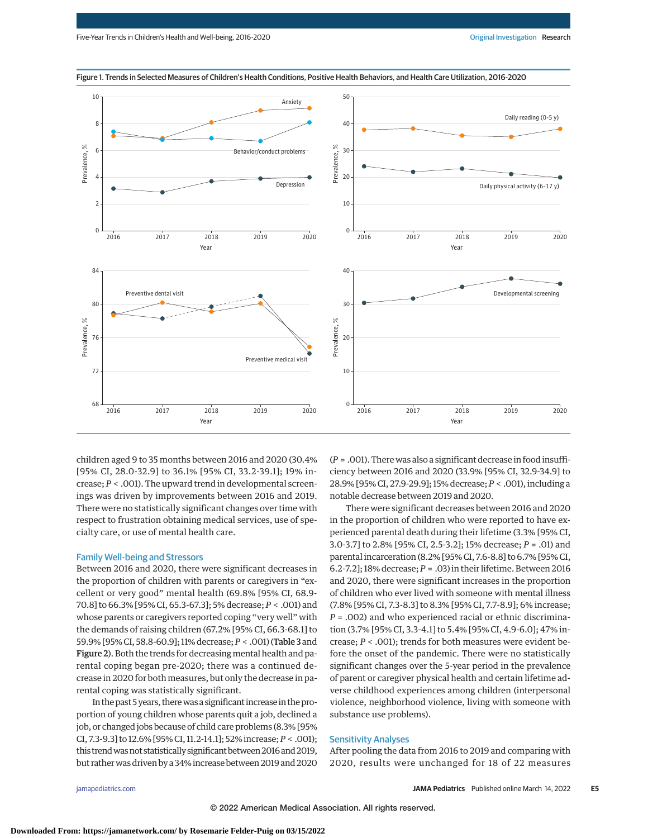

Figure 1. Trends in Selected Measures of Children's Health Conditions, Positive Health Behaviors, and Health Care Utilization, 2016-2020

children aged 9 to 35 months between 2016 and 2020 (30.4% [95% CI, 28.0-32.9] to 36.1% [95% CI, 33.2-39.1]; 19% increase; *P* < .001). The upward trend in developmental screenings was driven by improvements between 2016 and 2019. There were no statistically significant changes over time with respect to frustration obtaining medical services, use of specialty care, or use of mental health care.

## Family Well-being and Stressors

Between 2016 and 2020, there were significant decreases in the proportion of children with parents or caregivers in "excellent or very good" mental health (69.8% [95% CI, 68.9- 70.8] to 66.3% [95% CI, 65.3-67.3]; 5% decrease; *P* < .001) and whose parents or caregivers reported coping "very well" with the demands of raising children (67.2% [95% CI, 66.3-68.1] to 59.9% [95% CI, 58.8-60.9]; 11% decrease;*P* < .001) (Table 3 and Figure 2). Both the trends for decreasing mental health and parental coping began pre-2020; there was a continued decrease in 2020 for both measures, but only the decrease in parental coping was statistically significant.

In the past 5 years, there was a significant increase in the proportion of young children whose parents quit a job, declined a job, or changed jobs because of child care problems (8.3% [95% CI, 7.3-9.3] to 12.6% [95% CI, 11.2-14.1]; 52% increase;*P* < .001); this trend was not statistically significant between 2016 and 2019, but rather was driven by a 34% increase between 2019 and 2020

(*P* = .001). There was also a significant decrease in food insufficiency between 2016 and 2020 (33.9% [95% CI, 32.9-34.9] to 28.9% [95% CI, 27.9-29.9]; 15% decrease; *P* < .001), including a notable decrease between 2019 and 2020.

There were significant decreases between 2016 and 2020 in the proportion of children who were reported to have experienced parental death during their lifetime (3.3% [95% CI, 3.0-3.7] to 2.8% [95% CI, 2.5-3.2]; 15% decrease; *P* = .01) and parental incarceration (8.2% [95% CI, 7.6-8.8] to 6.7% [95% CI, 6.2-7.2]; 18% decrease; *P* = .03) in their lifetime. Between 2016 and 2020, there were significant increases in the proportion of children who ever lived with someone with mental illness (7.8% [95% CI, 7.3-8.3] to 8.3% [95% CI, 7.7-8.9]; 6% increase; *P* = .002) and who experienced racial or ethnic discrimination (3.7% [95% CI, 3.3-4.1] to 5.4% [95% CI, 4.9-6.0]; 47% increase; *P* < .001); trends for both measures were evident before the onset of the pandemic. There were no statistically significant changes over the 5-year period in the prevalence of parent or caregiver physical health and certain lifetime adverse childhood experiences among children (interpersonal violence, neighborhood violence, living with someone with substance use problems).

#### Sensitivity Analyses

After pooling the data from 2016 to 2019 and comparing with 2020, results were unchanged for 18 of 22 measures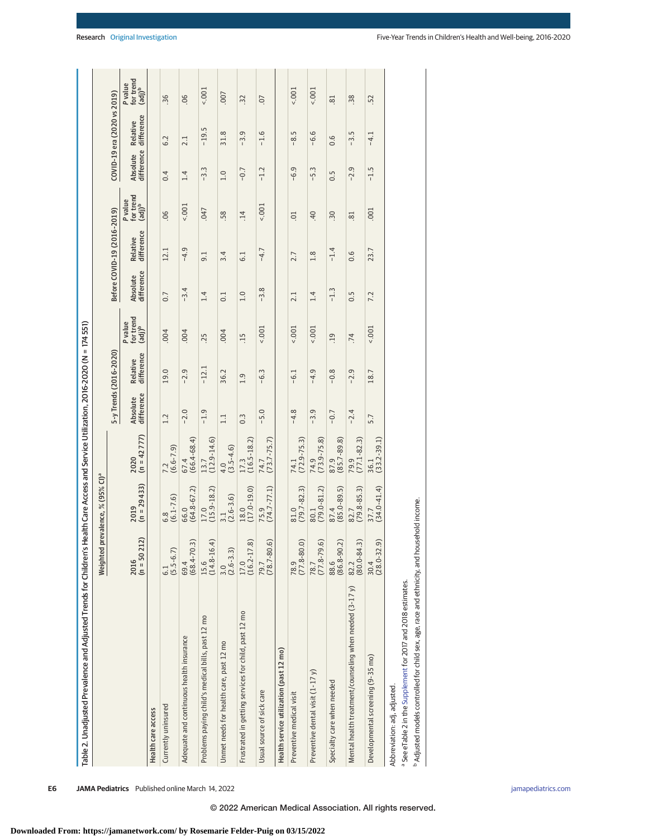| Table 2. Unadjusted Prevalence and Adjusted Trends for Childr |                                        | en's Health Care Access and Service Utilization, 2016-2020 (N = 174551) |                         |                        |                        |                                            |                        |                             |                                            |                        |                             |                                         |
|---------------------------------------------------------------|----------------------------------------|-------------------------------------------------------------------------|-------------------------|------------------------|------------------------|--------------------------------------------|------------------------|-----------------------------|--------------------------------------------|------------------------|-----------------------------|-----------------------------------------|
|                                                               |                                        | Weighted prevalence, % (95% CI) <sup>a</sup>                            |                         |                        |                        |                                            |                        |                             |                                            |                        |                             |                                         |
|                                                               |                                        |                                                                         |                         |                        | 5-y Trends (2016-2020) |                                            |                        | Before COVID-19 (2016-2019) |                                            |                        | COVID-19 era (2020 vs 2019) |                                         |
|                                                               | $(n = 50212)$<br>2016                  | $(n = 29433)$<br>2019                                                   | $(n = 42 777)$<br>2020  | difference<br>Absolute | difference<br>Relative | for trend<br>(adj) <sup>b</sup><br>P value | difference<br>Absolute | difference<br>Relative      | for trend<br>(adj) <sup>b</sup><br>P value | difference<br>Absolute | difference<br>Relative      | Pvalue<br>for tre<br>(adj) <sup>b</sup> |
| Health care access                                            |                                        |                                                                         |                         |                        |                        |                                            |                        |                             |                                            |                        |                             |                                         |
| Currently uninsured                                           | $-6.7$<br>$(5.5 -$<br>$\overline{6.1}$ | $(6.1 - 7.6)$<br>6.8                                                    | $(6.6 - 7.9)$<br>7.2    | 1.2                    | 19.0                   | 000.                                       | 0.7                    | 12.1                        | 06                                         | 0.4                    | 6.2                         | 36                                      |
| Adequate and continuous health insurance                      | $(68.4 - 70.3)$<br>69.4                | $(64.8 - 67.2)$<br>66.0                                                 | $(66.4 - 68.4)$<br>67.4 | $-2.0$                 | $-2.9$                 | .004                                       | $-3.4$                 | $-4.9$                      | $5001 -$                                   | 1.4                    | 2.1                         | 06                                      |
| Problems paying child's medical bills, past 12 mo             | $(14.8 - 16.4)$<br>15.6                | $(15.9 - 18.2)$<br>17.0                                                 | $(12.9 - 14.6)$<br>13.7 | $-1.9$                 | $-12.1$                | .25                                        | 1.4                    | 9.1                         | 047                                        | $-3.3$                 | $-19.5$                     | 5001                                    |
| Unmet needs for health care, past 12 mo                       | $(2.6 - 3.3)$<br>3.0                   | $(2.6 - 3.6)$<br>$\frac{1}{2}$                                          | $(3.5 - 4.6)$<br>4.0    | $\Xi$                  | 36.2                   | 000.                                       | 0.1                    | 3.4                         | 58                                         | 1.0                    | 31.8                        | 007                                     |
| Frustrated in getting services for child, past 12 mo          | $(16.2 - 17.8)$<br>17.0                | $(17.0 - 19.0)$<br>18.0                                                 | $(16.5 - 18.2)$<br>17.3 | $0.\overline{3}$       | 1.9                    | $-15$                                      | 1.0                    | 6.1                         | $\overline{14}$                            | $-0.7$                 | $-3.9$                      | $\ddot{32}$                             |
| Usual source of sick care                                     | $(78.7 - 80.6)$<br>79.7                | $(74.7 - 77.1)$<br>75.9                                                 | $(73.7 - 75.7)$<br>74.7 | $-5.0$                 | $-6.3$                 | 5001                                       | $-3.8$                 | $-4.7$                      | 5001                                       | $-1.2$                 | $-1.6$                      | $\overline{0}$ .                        |
| Health service utilization (past 12 mo)                       |                                        |                                                                         |                         |                        |                        |                                            |                        |                             |                                            |                        |                             |                                         |
| Preventive medical visit                                      | $(77.8 - 80.0)$<br>78.9                | $(79.7 - 82.3)$<br>81.0                                                 | $(72.9 - 75.3)$<br>74.1 | $-4.8$                 | $-61$                  | 5001                                       | 2.1                    | 2.7                         | $\overline{0}$ .                           | $-6.9$                 | $-8.5$                      | 5001                                    |
| Preventive dental visit (1-17 y)                              | $(77.8 - 79.6)$<br>78.7                | $(79.0 - 81.2)$<br>80.1                                                 | $(73.9 - 75.8)$<br>74.9 | $-3.9$                 | $-4.9$                 | 5001                                       | 1.4                    | 1.8                         | 40                                         | $-5.3$                 | $-6.6$                      | 1001                                    |
| Specialty care when needed                                    | $(86.8 - 90.2)$<br>88.6                | $(85.0 - 89.5)$<br>87.4                                                 | $(85.7 - 89.8)$<br>87.9 | $-0.7$                 | $-0.8$                 | $\overline{0}$                             | $-1.3$                 | $-1.4$                      | $\dot{.}30$                                | 0.5                    | 0.6                         | $\overline{81}$                         |
| Mental health treatment/counseling when needed (3-17 y)       | $(80.0 - 84.3)$<br>82.2                | $(79.8 - 85.3)$<br>82.7                                                 | $(77.1 - 82.3)$<br>79.9 | $-2.4$                 | $-2.9$                 | .74                                        | 0.5                    | 0.6                         | 81                                         | $-2.9$                 | $-3.5$                      | 38                                      |
| Developmental screening (9-35 mo)                             | $(28.0 - 32.9)$<br>30.4                | $(34.0 - 41.4)$<br>37.7                                                 | $(33.2 - 39.1)$<br>36.1 | 5.7                    | 18.7                   | $5001 -$                                   | 7.2                    | 23.7                        | .001                                       | $-1.5$                 | $-4.1$                      | .52                                     |
| Abbreviation: adj, adjusted.                                  |                                        |                                                                         |                         |                        |                        |                                            |                        |                             |                                            |                        |                             |                                         |

 $5.001$  $5001$ 

**E6 JAMA Pediatrics** Published online March 14, 2022 **(Reprinted)** in the state of the state of the state of the state of the state of the state of the state of the state of the state of the state of the state of the state

<sup>a</sup> See eTable 2 in the Supplement for 2017 and 2018 estimates. See eTable 2 in the [Supplement](https://jamanetwork.com/journals/jama/fullarticle/10.1001/jamapediatrics.2022.0056?utm_campaign=articlePDF%26utm_medium=articlePDFlink%26utm_source=articlePDF%26utm_content=jamapediatrics.2022.0056) for 2017 and 2018 estimates.

bAdjusted models controlled for child sex, age, race and ethnicity, and household income.

<sup>b</sup> Adjusted models controlled for child sex, age, race and ethnicity, and household income.

P value<br>for trend<br>(adj)<sup>b</sup>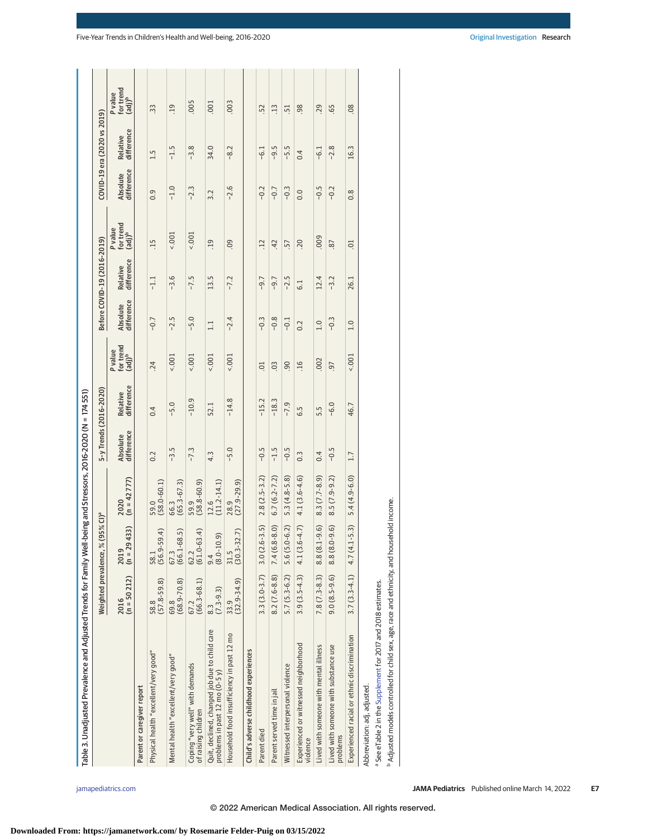| Table 3. Unadjusted Prevalence and Adjusted Trends for Family Well                                    |                                |                                         | -being and Stressors, $2016 - 2020$ (N = 174 551) |                        |                        |                                            |                        |                             |                                           |                        |                             |                                            |
|-------------------------------------------------------------------------------------------------------|--------------------------------|-----------------------------------------|---------------------------------------------------|------------------------|------------------------|--------------------------------------------|------------------------|-----------------------------|-------------------------------------------|------------------------|-----------------------------|--------------------------------------------|
|                                                                                                       | Weighted prevalence, %         | $(95\%$ CI) <sup>a</sup>                |                                                   | 5-y Trends (2016-2020) |                        |                                            |                        | Before COVID-19 (2016-2019) |                                           |                        | COVID-19 era (2020 vs 2019) |                                            |
|                                                                                                       | $(n = 50212)$<br>2016          | 1433)<br>$2019$<br>(n = 29              | $(n = 42 777)$<br>2020                            | difference<br>Absolute | difference<br>Relative | for trend<br>(adj) <sup>b</sup><br>P value | difference<br>Absolute | difference<br>Relative      | for trend<br>(adj) <sup>b</sup><br>Pvalue | difference<br>Absolute | difference<br>Relative      | for trend<br>(adj) <sup>b</sup><br>P value |
| Parent or caregiver report                                                                            |                                |                                         |                                                   |                        |                        |                                            |                        |                             |                                           |                        |                             |                                            |
| Physical health "excellent/very good"                                                                 | $(57.8 - 59.8)$<br>58.8        | 58.1<br>(56.9-59.4)                     | $(58.0 - 60.1)$<br>59.0                           | 0.2                    | 0.4                    | .24                                        | $-0.7$                 | $-1.1$                      | .15                                       | 0.9                    | 1.5                         | 33                                         |
| Mental health "excellent/very good"                                                                   | $(68.9 - 70.8)$<br>69.8        | $(66.1 - 68.5)$<br>67.3                 | $(65.3 - 67.3)$<br>66.3                           | $-3.5$                 | $-5.0$                 | $5001 -$                                   | $-2.5$                 | $-3.6$                      | $5001 -$                                  | $-1.0$                 | $-1.5$                      | 19                                         |
| Coping "very well" with demands<br>of raising children                                                | $(66.3 - 68.1)$<br>67.2        | $62.2$<br>(61.0-63.4)                   | $(58.8 - 60.9)$<br>59.9                           | $-7.3$                 | $-10.9$                | $5001 -$                                   | $-5.0$                 | $-7.5$                      | 5001                                      | $-2.3$                 | $-3.8$                      | .005                                       |
| Quit, declined, changed job due to child care<br>problems in past $12 \text{ mo} (0-5 \text{ y})$     | $(7.3 - 9.3)$<br>$\frac{3}{8}$ | $\widehat{e}$<br>$\frac{9.4}{(8.0-10)}$ | $(11.2 - 14.1)$<br>12.6                           | 4.3                    | 52.1                   | 5001                                       | $\Box$                 | 13.5                        | 19                                        | 3.2                    | 34.0                        | 001                                        |
| Household food insufficiency in past 12 mo                                                            | $(32.9 - 34.9)$<br>33.9        | $(30.3 - 32.7)$<br>31.5                 | $(27.9 - 29.9)$<br>28.9                           | $-5.0$                 | $-14.8$                | 5001                                       | $-2.4$                 | $-7.2$                      | 09                                        | $-2.6$                 | $-8.2$                      | .003                                       |
| Child's adverse childhood experiences                                                                 |                                |                                         |                                                   |                        |                        |                                            |                        |                             |                                           |                        |                             |                                            |
| Parent died                                                                                           | $3.3(3.0-3.7)$                 | $3.0(2.6-3.5)$                          | $2.8(2.5 - 3.2)$                                  | $-0.5$                 | $-15.2$                | $\overline{0}$                             | $-0.3$                 | $-9.7$                      | 12                                        | $-0.2$                 | $-6.1$                      | 52                                         |
| Parent served time in jail                                                                            | $8.2(7.6-8.8)$                 | $7.4(6.8-8.0)$                          | $6.7(6.2 - 7.2)$                                  | $-1.5$                 | $-18.3$                | $\overline{0}$                             | $-0.8$                 | $-9.7$                      | 42                                        | $-0.7$                 | $-9.5$                      | $\ddot{1}$                                 |
| Witnessed interpersonal violence                                                                      | $5.7(5.3-6.2)$                 | $5.6(5.0-6.2)$                          | $5.3(4.8-5.8)$                                    | $-0.5$                 | $-7.9$                 | 90                                         | $-0.1$                 | $-2.5$                      | 57                                        | $-0.3$                 | $-5.5$                      | 51                                         |
| Experienced or witnessed neighborhood<br>violence                                                     |                                | $3.9(3.5-4.3)$ $4.1(3.6-4.7)$           | $4.1(3.6 - 4.6)$                                  | $0.\overline{3}$       | 6.5                    | $-16$                                      | 0.2                    | $\overline{6}$ .            | <b>20</b>                                 | 0.0                    | 0.4                         | 98                                         |
| Lived with someone with mental illness                                                                | $7.8(7.3-8.3)$                 | $8.8(8.1 - 9.6)$                        | $8.3(7.7-8.9)$                                    | 0.4                    | 5.5                    | .002                                       | 1.0                    | 12.4                        | 000                                       | $-0.5$                 | $-6.1$                      | .29                                        |
| Lived with someone with substance use<br>problems                                                     | $9.0(8.5-9.6)$                 | $8.8(8.0 - 9.6)$                        | $8.5(7.9-9.2)$                                    | $-0.5$                 | $-6.0$                 | -97                                        | $-0.3$                 | $-3.2$                      | 87                                        | $-0.2$                 | $-2.8$                      | G5                                         |
| Experienced racial or ethnic discrimination                                                           | $3.7(3.3-4.1)$                 | $1 - 5.3$<br>4.7 (4.                    | $5.4(4.9-6.0)$                                    | 1.7                    | 46.7                   | 5001                                       | 1.0                    | 26.1                        | $\overline{0}$ .                          | 0.8                    | 16.3                        | 08                                         |
| a See eTable 2 in the Supplement for 2017 and 2018 estimates.<br>Abbreviation: adj, adjusted.         |                                |                                         |                                                   |                        |                        |                                            |                        |                             |                                           |                        |                             |                                            |
| <sup>b</sup> Adjusted models controlled for child sex, age, race and ethnicity, and household income. |                                |                                         |                                                   |                        |                        |                                            |                        |                             |                                           |                        |                             |                                            |
|                                                                                                       |                                |                                         |                                                   |                        |                        |                                            |                        |                             |                                           |                        |                             |                                            |

# **Downloaded From: https://jamanetwork.com/ by Rosemarie Felder-Puig on 03/15/2022**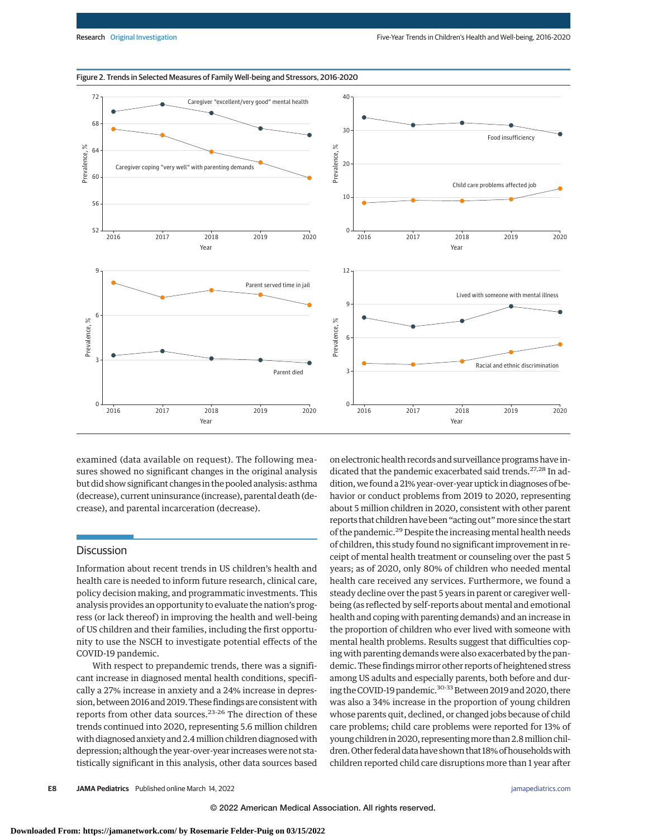

# Figure 2. Trends in Selected Measures of Family Well-being and Stressors, 2016-2020

examined (data available on request). The following measures showed no significant changes in the original analysis but did show significant changes in the pooled analysis: asthma (decrease), current uninsurance (increase), parental death (decrease), and parental incarceration (decrease).

### **Discussion**

Information about recent trends in US children's health and health care is needed to inform future research, clinical care, policy decision making, and programmatic investments. This analysis provides an opportunity to evaluate the nation's progress (or lack thereof) in improving the health and well-being of US children and their families, including the first opportunity to use the NSCH to investigate potential effects of the COVID-19 pandemic.

With respect to prepandemic trends, there was a significant increase in diagnosed mental health conditions, specifically a 27% increase in anxiety and a 24% increase in depression, between 2016 and 2019. These findings are consistent with reports from other data sources.<sup>23-26</sup> The direction of these trends continued into 2020, representing 5.6 million children with diagnosed anxiety and 2.4 million children diagnosed with depression; although the year-over-year increases were not statistically significant in this analysis, other data sources based on electronic health records and surveillance programs have indicated that the pandemic exacerbated said trends.<sup>27,28</sup> In addition, we found a 21% year-over-year uptick in diagnoses of behavior or conduct problems from 2019 to 2020, representing about 5 million children in 2020, consistent with other parent reports that children have been "acting out"more since the start of the pandemic.29 Despite the increasing mental health needs of children, this study found no significant improvement in receipt of mental health treatment or counseling over the past 5 years; as of 2020, only 80% of children who needed mental health care received any services. Furthermore, we found a steady decline over the past 5 years in parent or caregiver wellbeing (as reflected by self-reports about mental and emotional health and coping with parenting demands) and an increase in the proportion of children who ever lived with someone with mental health problems. Results suggest that difficulties coping with parenting demands were also exacerbated by the pandemic. These findings mirror other reports of heightened stress among US adults and especially parents, both before and during the COVID-19 pandemic.<sup>30-33</sup> Between 2019 and 2020, there was also a 34% increase in the proportion of young children whose parents quit, declined, or changed jobs because of child care problems; child care problems were reported for 13% of young children in 2020, representingmore than 2.8million children. Other federal data have shown that 18% of households with children reported child care disruptions more than 1 year after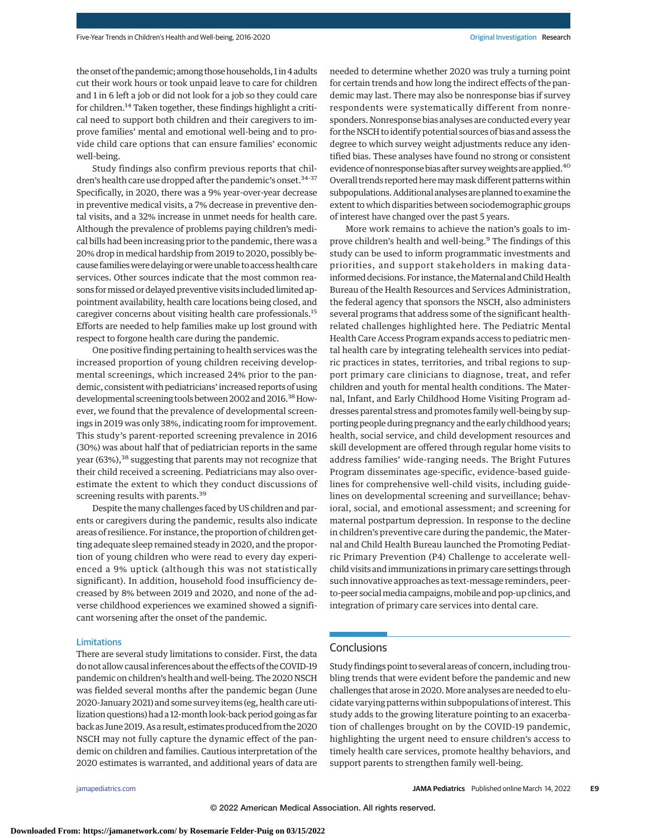the onset of the pandemic; among those households, 1 in 4 adults cut their work hours or took unpaid leave to care for children and 1 in 6 left a job or did not look for a job so they could care for children.14 Taken together, these findings highlight a critical need to support both children and their caregivers to improve families' mental and emotional well-being and to provide child care options that can ensure families' economic well-being.

Study findings also confirm previous reports that children's health care use dropped after the pandemic's onset.<sup>34-37</sup> Specifically, in 2020, there was a 9% year-over-year decrease in preventive medical visits, a 7% decrease in preventive dental visits, and a 32% increase in unmet needs for health care. Although the prevalence of problems paying children's medical bills had been increasing prior to the pandemic, there was a 20% drop in medical hardship from 2019 to 2020, possibly because families were delaying or were unable to access health care services. Other sources indicate that the most common reasons formissed or delayed preventive visits included limited appointment availability, health care locations being closed, and caregiver concerns about visiting health care professionals.15 Efforts are needed to help families make up lost ground with respect to forgone health care during the pandemic.

One positive finding pertaining to health services was the increased proportion of young children receiving developmental screenings, which increased 24% prior to the pandemic, consistent with pediatricians' increased reports of using developmental screening tools between 2002 and 2016.<sup>38</sup> However, we found that the prevalence of developmental screenings in 2019 was only 38%, indicating room for improvement. This study's parent-reported screening prevalence in 2016 (30%) was about half that of pediatrician reports in the same year (63%),<sup>38</sup> suggesting that parents may not recognize that their child received a screening. Pediatricians may also overestimate the extent to which they conduct discussions of screening results with parents.<sup>39</sup>

Despite the many challenges faced by US children and parents or caregivers during the pandemic, results also indicate areas of resilience. For instance, the proportion of children getting adequate sleep remained steady in 2020, and the proportion of young children who were read to every day experienced a 9% uptick (although this was not statistically significant). In addition, household food insufficiency decreased by 8% between 2019 and 2020, and none of the adverse childhood experiences we examined showed a significant worsening after the onset of the pandemic.

#### Limitations

There are several study limitations to consider. First, the data do not allow causal inferences about the effects of the COVID-19 pandemic on children's health and well-being. The 2020 NSCH was fielded several months after the pandemic began (June 2020-January 2021) and some survey items (eg, health care utilization questions) had a 12-month look-back period going as far back as June 2019. As a result, estimates produced from the 2020 NSCH may not fully capture the dynamic effect of the pandemic on children and families. Cautious interpretation of the 2020 estimates is warranted, and additional years of data are needed to determine whether 2020 was truly a turning point for certain trends and how long the indirect effects of the pandemic may last. There may also be nonresponse bias if survey respondents were systematically different from nonresponders. Nonresponse bias analyses are conducted every year for the NSCH to identify potential sources of bias and assess the degree to which survey weight adjustments reduce any identified bias. These analyses have found no strong or consistent evidence of nonresponse bias after survey weights are applied.<sup>40</sup> Overall trends reported here may mask different patterns within subpopulations. Additional analyses are planned to examine the extent to which disparities between sociodemographic groups of interest have changed over the past 5 years.

More work remains to achieve the nation's goals to improve children's health and well-being.<sup>9</sup> The findings of this study can be used to inform programmatic investments and priorities, and support stakeholders in making datainformed decisions. For instance, the Maternal and Child Health Bureau of the Health Resources and Services Administration, the federal agency that sponsors the NSCH, also administers several programs that address some of the significant healthrelated challenges highlighted here. The Pediatric Mental Health Care Access Program expands access to pediatric mental health care by integrating telehealth services into pediatric practices in states, territories, and tribal regions to support primary care clinicians to diagnose, treat, and refer children and youth for mental health conditions. The Maternal, Infant, and Early Childhood Home Visiting Program addresses parental stress and promotes family well-being by supporting people during pregnancy and the early childhood years; health, social service, and child development resources and skill development are offered through regular home visits to address families' wide-ranging needs. The Bright Futures Program disseminates age-specific, evidence-based guidelines for comprehensive well-child visits, including guidelines on developmental screening and surveillance; behavioral, social, and emotional assessment; and screening for maternal postpartum depression. In response to the decline in children's preventive care during the pandemic, the Maternal and Child Health Bureau launched the Promoting Pediatric Primary Prevention (P4) Challenge to accelerate wellchild visits and immunizations in primary care settings through such innovative approaches as text-message reminders, peerto-peer social media campaigns, mobile and pop-up clinics, and integration of primary care services into dental care.

# Conclusions

Study findings point to several areas of concern, including troubling trends that were evident before the pandemic and new challenges that arose in 2020. More analyses are needed to elucidate varying patterns within subpopulations of interest. This study adds to the growing literature pointing to an exacerbation of challenges brought on by the COVID-19 pandemic, highlighting the urgent need to ensure children's access to timely health care services, promote healthy behaviors, and support parents to strengthen family well-being.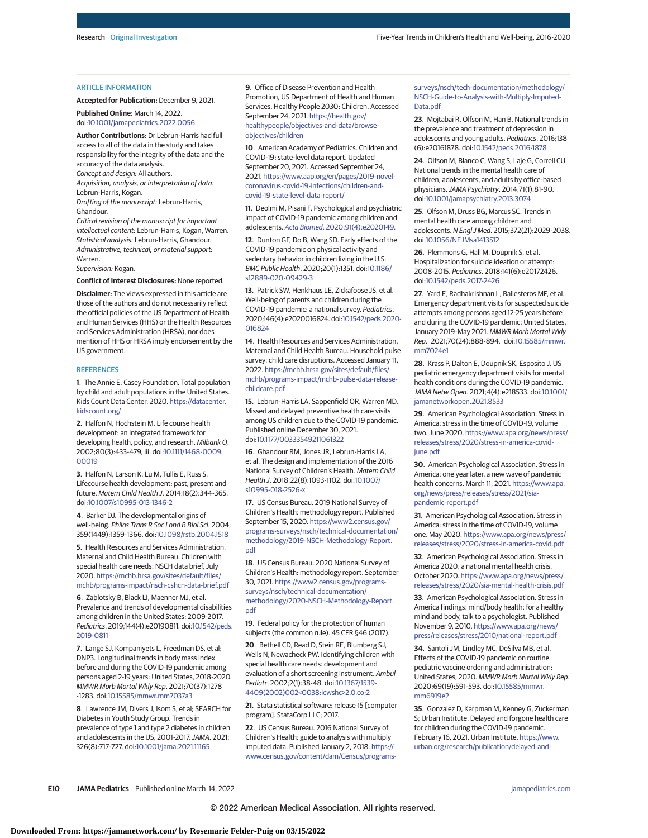#### ARTICLE INFORMATION

**Accepted for Publication:** December 9, 2021.

**Published Online:** March 14, 2022. doi[:10.1001/jamapediatrics.2022.0056](https://jamanetwork.com/journals/jama/fullarticle/10.1001/jamapediatrics.2022.0056?utm_campaign=articlePDF%26utm_medium=articlePDFlink%26utm_source=articlePDF%26utm_content=jamapediatrics.2022.0056)

**Author Contributions**: Dr Lebrun-Harris had full access to all of the data in the study and takes responsibility for the integrity of the data and the accuracy of the data analysis. Concept and design: All authors.

Acquisition, analysis, or interpretation of data: Lebrun-Harris, Kogan.

Drafting of the manuscript: Lebrun-Harris, Ghandour.

Critical revision of the manuscript for important intellectual content: Lebrun-Harris, Kogan, Warren. Statistical analysis: Lebrun-Harris, Ghandour. Administrative, technical, or material support: Warren.

Supervision: Kogan.

**Conflict of Interest Disclosures:** None reported.

**Disclaimer:** The views expressed in this article are those of the authors and do not necessarily reflect the official policies of the US Department of Health and Human Services (HHS) or the Health Resources and Services Administration (HRSA), nor does mention of HHS or HRSA imply endorsement by the US government.

#### **REFERENCES**

**1**. The Annie E. Casey Foundation. Total population by child and adult populations in the United States. Kids Count Data Center. 2020. [https://datacenter.](https://datacenter.kidscount.org/) [kidscount.org/](https://datacenter.kidscount.org/)

**2**. Halfon N, Hochstein M. Life course health development: an integrated framework for developing health, policy, and research. Milbank Q. 2002;80(3):433-479, iii. doi[:10.1111/1468-0009.](https://dx.doi.org/10.1111/1468-0009.00019) [00019](https://dx.doi.org/10.1111/1468-0009.00019)

**3**. Halfon N, Larson K, Lu M, Tullis E, Russ S. Lifecourse health development: past, present and future. Matern Child Health J. 2014;18(2):344-365. doi[:10.1007/s10995-013-1346-2](https://dx.doi.org/10.1007/s10995-013-1346-2)

**4**. Barker DJ. The developmental origins of well-being. Philos Trans R Soc Lond B Biol Sci. 2004; 359(1449):1359-1366. doi[:10.1098/rstb.2004.1518](https://dx.doi.org/10.1098/rstb.2004.1518)

**5**. Health Resources and Services Administration, Maternal and Child Health Bureau. Children with special health care needs: NSCH data brief, July 2020. [https://mchb.hrsa.gov/sites/default/files/](https://mchb.hrsa.gov/sites/default/files/mchb/programs-impact/nsch-cshcn-data-brief.pdf) [mchb/programs-impact/nsch-cshcn-data-brief.pdf](https://mchb.hrsa.gov/sites/default/files/mchb/programs-impact/nsch-cshcn-data-brief.pdf)

**6**. Zablotsky B, Black LI, Maenner MJ, et al. Prevalence and trends of developmental disabilities among children in the United States: 2009-2017. Pediatrics. 2019;144(4):e20190811. doi[:10.1542/peds.](https://dx.doi.org/10.1542/peds.2019-0811) [2019-0811](https://dx.doi.org/10.1542/peds.2019-0811)

**7**. Lange SJ, Kompaniyets L, Freedman DS, et al; DNP3. Longitudinal trends in body mass index before and during the COVID-19 pandemic among persons aged 2-19 years: United States, 2018-2020. MMWR Morb Mortal Wkly Rep. 2021;70(37):1278 -1283. doi[:10.15585/mmwr.mm7037a3](https://dx.doi.org/10.15585/mmwr.mm7037a3)

**8**. Lawrence JM, Divers J, Isom S, et al; SEARCH for Diabetes in Youth Study Group. Trends in prevalence of type 1 and type 2 diabetes in children and adolescents in the US, 2001-2017. JAMA. 2021; 326(8):717-727. doi[:10.1001/jama.2021.11165](https://jamanetwork.com/journals/jama/fullarticle/10.1001/jama.2021.11165?utm_campaign=articlePDF%26utm_medium=articlePDFlink%26utm_source=articlePDF%26utm_content=jamapediatrics.2022.0056)

**9**. Office of Disease Prevention and Health Promotion, US Department of Health and Human Services. Healthy People 2030: Children. Accessed September 24, 2021. [https://health.gov/](https://health.gov/healthypeople/objectives-and-data/browse-objectives/children) [healthypeople/objectives-and-data/browse](https://health.gov/healthypeople/objectives-and-data/browse-objectives/children)[objectives/children](https://health.gov/healthypeople/objectives-and-data/browse-objectives/children)

**10**. American Academy of Pediatrics. Children and COVID-19: state-level data report. Updated September 20, 2021. Accessed September 24, 2021. [https://www.aap.org/en/pages/2019-novel](https://www.aap.org/en/pages/2019-novel-coronavirus-covid-19-infections/children-and-covid-19-state-level-data-report/)[coronavirus-covid-19-infections/children-and](https://www.aap.org/en/pages/2019-novel-coronavirus-covid-19-infections/children-and-covid-19-state-level-data-report/)[covid-19-state-level-data-report/](https://www.aap.org/en/pages/2019-novel-coronavirus-covid-19-infections/children-and-covid-19-state-level-data-report/)

**11**. Deolmi M, Pisani F. Psychological and psychiatric impact of COVID-19 pandemic among children and adolescents. Acta Biomed[. 2020;91\(4\):e2020149.](https://www.ncbi.nlm.nih.gov/pubmed/33525229)

**12**[. Dunton GF, Do B, Wang SD. Early effects of the](https://www.ncbi.nlm.nih.gov/pubmed/33525229) [COVID-19 pandemic on physical activity and](https://www.ncbi.nlm.nih.gov/pubmed/33525229) [sedentary behavior in children living in the U.S.](https://www.ncbi.nlm.nih.gov/pubmed/33525229) BMC Public Health. 2020;20(1):1351. doi[:10.1186/](https://dx.doi.org/10.1186/s12889-020-09429-3) [s12889-020-09429-3](https://dx.doi.org/10.1186/s12889-020-09429-3)

**13**. Patrick SW, Henkhaus LE, Zickafoose JS, et al. Well-being of parents and children during the COVID-19 pandemic: a national survey. Pediatrics. 2020;146(4):e2020016824. doi[:10.1542/peds.2020-](https://dx.doi.org/10.1542/peds.2020-016824) [016824](https://dx.doi.org/10.1542/peds.2020-016824)

**14**. Health Resources and Services Administration, Maternal and Child Health Bureau. Household pulse survey: child care disruptions. Accessed January 11, 2022. [https://mchb.hrsa.gov/sites/default/files/](https://mchb.hrsa.gov/sites/default/files/mchb/programs-impact/mchb-pulse-data-release-childcare.pdf) [mchb/programs-impact/mchb-pulse-data-release](https://mchb.hrsa.gov/sites/default/files/mchb/programs-impact/mchb-pulse-data-release-childcare.pdf)[childcare.pdf](https://mchb.hrsa.gov/sites/default/files/mchb/programs-impact/mchb-pulse-data-release-childcare.pdf)

**15**. Lebrun-Harris LA, Sappenfield OR, Warren MD. Missed and delayed preventive health care visits among US children due to the COVID-19 pandemic. Published online December 30, 2021. doi[:10.1177/00333549211061322](https://dx.doi.org/10.1177/00333549211061322)

**16**. Ghandour RM, Jones JR, Lebrun-Harris LA, et al. The design and implementation of the 2016 National Survey of Children's Health. Matern Child Health J. 2018;22(8):1093-1102. doi[:10.1007/](https://dx.doi.org/10.1007/s10995-018-2526-x) [s10995-018-2526-x](https://dx.doi.org/10.1007/s10995-018-2526-x)

**17**. US Census Bureau. 2019 National Survey of Children's Health: methodology report. Published September 15, 2020. [https://www2.census.gov/](https://www2.census.gov/programs-surveys/nsch/technical-documentation/methodology/2019-NSCH-Methodology-Report.pdf) [programs-surveys/nsch/technical-documentation/](https://www2.census.gov/programs-surveys/nsch/technical-documentation/methodology/2019-NSCH-Methodology-Report.pdf) [methodology/2019-NSCH-Methodology-Report.](https://www2.census.gov/programs-surveys/nsch/technical-documentation/methodology/2019-NSCH-Methodology-Report.pdf) [pdf](https://www2.census.gov/programs-surveys/nsch/technical-documentation/methodology/2019-NSCH-Methodology-Report.pdf)

**18**. US Census Bureau. 2020 National Survey of Children's Health: methodology report. September 30, 2021. [https://www2.census.gov/programs](https://www2.census.gov/programs-surveys/nsch/technical-documentation/methodology/2020-NSCH-Methodology-Report.pdf)[surveys/nsch/technical-documentation/](https://www2.census.gov/programs-surveys/nsch/technical-documentation/methodology/2020-NSCH-Methodology-Report.pdf) [methodology/2020-NSCH-Methodology-Report.](https://www2.census.gov/programs-surveys/nsch/technical-documentation/methodology/2020-NSCH-Methodology-Report.pdf) [pdf](https://www2.census.gov/programs-surveys/nsch/technical-documentation/methodology/2020-NSCH-Methodology-Report.pdf)

**19**. Federal policy for the protection of human subjects (the common rule). 45 CFR §46 (2017).

**20**. Bethell CD, Read D, Stein RE, Blumberg SJ, Wells N, Newacheck PW. Identifying children with special health care needs: development and evaluation of a short screening instrument. Ambul Pediatr. 2002;2(1):38-48. doi[:10.1367/1539-](https://dx.doi.org/10.1367/1539-4409(2002)002%3C0038:icwshc%3E2.0.co;2) [4409\(2002\)002<0038:icwshc>2.0.co;2](https://dx.doi.org/10.1367/1539-4409(2002)002%3C0038:icwshc%3E2.0.co;2)

**21**. Stata statistical software: release 15 [computer program]. StataCorp LLC; 2017.

**22**. US Census Bureau. 2016 National Survey of Children's Health: guide to analysis with multiply imputed data. Published January 2, 2018. [https://](https://www.census.gov/content/dam/Census/programs-surveys/nsch/tech-documentation/methodology/NSCH-Guide-to-Analysis-with-Multiply-Imputed-Data.pdf) [www.census.gov/content/dam/Census/programs-](https://www.census.gov/content/dam/Census/programs-surveys/nsch/tech-documentation/methodology/NSCH-Guide-to-Analysis-with-Multiply-Imputed-Data.pdf)

[surveys/nsch/tech-documentation/methodology/](https://www.census.gov/content/dam/Census/programs-surveys/nsch/tech-documentation/methodology/NSCH-Guide-to-Analysis-with-Multiply-Imputed-Data.pdf) [NSCH-Guide-to-Analysis-with-Multiply-Imputed-](https://www.census.gov/content/dam/Census/programs-surveys/nsch/tech-documentation/methodology/NSCH-Guide-to-Analysis-with-Multiply-Imputed-Data.pdf)[Data.pdf](https://www.census.gov/content/dam/Census/programs-surveys/nsch/tech-documentation/methodology/NSCH-Guide-to-Analysis-with-Multiply-Imputed-Data.pdf)

**23**. Mojtabai R, Olfson M, Han B. National trends in the prevalence and treatment of depression in adolescents and young adults. Pediatrics. 2016;138 (6):e20161878. doi[:10.1542/peds.2016-1878](https://dx.doi.org/10.1542/peds.2016-1878)

**24**. Olfson M, Blanco C, Wang S, Laje G, Correll CU. National trends in the mental health care of children, adolescents, and adults by office-based physicians.JAMA Psychiatry. 2014;71(1):81-90. doi[:10.1001/jamapsychiatry.2013.3074](https://jamanetwork.com/journals/jama/fullarticle/10.1001/jamapsychiatry.2013.3074?utm_campaign=articlePDF%26utm_medium=articlePDFlink%26utm_source=articlePDF%26utm_content=jamapediatrics.2022.0056)

**25**. Olfson M, Druss BG, Marcus SC. Trends in mental health care among children and adolescents. N Engl J Med. 2015;372(21):2029-2038. doi[:10.1056/NEJMsa1413512](https://dx.doi.org/10.1056/NEJMsa1413512)

**26**. Plemmons G, Hall M, Doupnik S, et al. Hospitalization for suicide ideation or attempt: 2008-2015. Pediatrics. 2018;141(6):e20172426. doi[:10.1542/peds.2017-2426](https://dx.doi.org/10.1542/peds.2017-2426)

**27**. Yard E, Radhakrishnan L, Ballesteros MF, et al. Emergency department visits for suspected suicide attempts among persons aged 12-25 years before and during the COVID-19 pandemic: United States, January 2019-May 2021. MMWR Morb Mortal Wkly Rep. 2021;70(24):888-894. doi[:10.15585/mmwr.](https://dx.doi.org/10.15585/mmwr.mm7024e1) [mm7024e1](https://dx.doi.org/10.15585/mmwr.mm7024e1)

**28**. Krass P, Dalton E, Doupnik SK, Esposito J. US pediatric emergency department visits for mental health conditions during the COVID-19 pandemic. JAMA Netw Open. 2021;4(4):e218533. doi[:10.1001/](https://jamanetwork.com/journals/jama/fullarticle/10.1001/jamanetworkopen.2021.8533?utm_campaign=articlePDF%26utm_medium=articlePDFlink%26utm_source=articlePDF%26utm_content=jamapediatrics.2022.0056) [jamanetworkopen.2021.8533](https://jamanetwork.com/journals/jama/fullarticle/10.1001/jamanetworkopen.2021.8533?utm_campaign=articlePDF%26utm_medium=articlePDFlink%26utm_source=articlePDF%26utm_content=jamapediatrics.2022.0056)

**29**. American Psychological Association. Stress in America: stress in the time of COVID-19, volume two. June 2020. [https://www.apa.org/news/press/](https://www.apa.org/news/press/releases/stress/2020/stress-in-america-covid-june.pdf) [releases/stress/2020/stress-in-america-covid](https://www.apa.org/news/press/releases/stress/2020/stress-in-america-covid-june.pdf)[june.pdf](https://www.apa.org/news/press/releases/stress/2020/stress-in-america-covid-june.pdf)

**30**. American Psychological Association. Stress in America: one year later, a new wave of pandemic health concerns. March 11, 2021. [https://www.apa.](https://www.apa.org/news/press/releases/stress/2021/sia-pandemic-report.pdf) [org/news/press/releases/stress/2021/sia](https://www.apa.org/news/press/releases/stress/2021/sia-pandemic-report.pdf)[pandemic-report.pdf](https://www.apa.org/news/press/releases/stress/2021/sia-pandemic-report.pdf)

**31**. American Psychological Association. Stress in America: stress in the time of COVID-19, volume one. May 2020. [https://www.apa.org/news/press/](https://www.apa.org/news/press/releases/stress/2020/stress-in-america-covid.pdf) [releases/stress/2020/stress-in-america-covid.pdf](https://www.apa.org/news/press/releases/stress/2020/stress-in-america-covid.pdf)

**32**. American Psychological Association. Stress in America 2020: a national mental health crisis. October 2020. [https://www.apa.org/news/press/](https://www.apa.org/news/press/releases/stress/2020/sia-mental-health-crisis.pdf) [releases/stress/2020/sia-mental-health-crisis.pdf](https://www.apa.org/news/press/releases/stress/2020/sia-mental-health-crisis.pdf)

**33**. American Psychological Association. Stress in America findings: mind/body health: for a healthy mind and body, talk to a psychologist. Published November 9, 2010. [https://www.apa.org/news/](https://www.apa.org/news/press/releases/stress/2010/national-report.pdf) [press/releases/stress/2010/national-report.pdf](https://www.apa.org/news/press/releases/stress/2010/national-report.pdf)

**34**. Santoli JM, Lindley MC, DeSilva MB, et al. Effects of the COVID-19 pandemic on routine pediatric vaccine ordering and administration: United States, 2020. MMWR Morb Mortal Wkly Rep. 2020;69(19):591-593. doi[:10.15585/mmwr.](https://dx.doi.org/10.15585/mmwr.mm6919e2) [mm6919e2](https://dx.doi.org/10.15585/mmwr.mm6919e2)

**35**. Gonzalez D, Karpman M, Kenney G, Zuckerman S; Urban Institute. Delayed and forgone health care for children during the COVID-19 pandemic. February 16, 2021. Urban Institute. [https://www.](https://www.urban.org/research/publication/delayed-and-forgone-health-care-children-during-covid-19-pandemic) [urban.org/research/publication/delayed-and-](https://www.urban.org/research/publication/delayed-and-forgone-health-care-children-during-covid-19-pandemic)